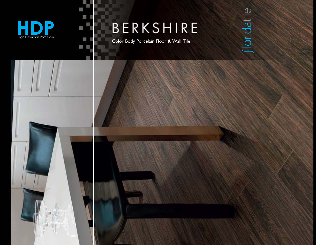

圓

U

T E

E π

#### BERKSHIRE

Color Body Porcelain Floor & Wall Tile

## floridatile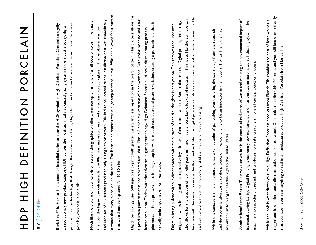# HDP HIGH DEFINITION PORCELAIN **NIAIUUNO NOILINIA HOI AQIAIUUNO NOILINIA HOI**

### **BY** floridatil

Berkshire<sup>HDP</sup> by Florida Tile is another beautiful series to bear the HDP symbol of High Definition Porcelain. Created to signify printing. Like the technology that changed the television industry, High Definition Porcelain brings you the most realistic image printing. Like the technology that changed the television industry, High Definition Porcelain brings you the most realistic image Berkshire<sup>ror</sup> by Florida Tile is another beautiful series to bear the HDP symbol of High Definition Porcelain. Created to signify a revolutionary new product category, HDP utilizes the most technically advanced glazing system in the industry today, digital a revolutionary new product category, HDP utilizes the most technically advanced glazing system in the industry today, digital possible, except it is on a tile. possible, except it is on a tile.

obvious that every piece looked the same. The Roto-color process was a huge step forward in the 1990s and allowed for a pattern obvious that every piece looked the same. The Roto-color process was a huge step forward in the 1990s and allowed for a pattern Much like the picture on your television screen, the graphics on tiles are made up of millions of small dots of color. The smaller and each set of silk screens produced only a single color pattern. Tile had to be rotated during installation or it was immediately Much like the picture on your television screen, the graphics on tiles are made up of millions of small dots of color. The smaller and each set of silk screens produced only a single color pattern. Tile had to be rotated during installation or it was immediately the dots, the higher the definition. In the 80s, most manufacturers used silk screens to apply glazes. The resolution was low the dots, the higher the definition. In the 80s, most manufacturers used silk screens to apply glazes. The resolution was low that would not be repeated for 20-30 tiles. that would not be repeated for 20-30 tiles.

Digital technology uses 500 injectors to print with greater variety and less repetition in the overall pattern. This process allows for Digital technology uses 500 injectors to print with greater variety and less repetition in the overall pattern. This process allows for a production pattern that is not repeated for 180 ft. This is 8 times the variation of a conventional Roto-color machine and a far pioneered in inkjet printers. This is a huge leap forward in both resolution and pattern variation, creating a porcelain tile that is pioneered in inkjet printers. This is a huge leap forward in both resolution and pattern variation, creating a porcelain tile that is better resolution. Today, with the advances in glazing technology, High Definition Porcelain utilizes a digital printing process a production pattern that is not repeated for 180 ft. This is 8 times the variation of a conventional Roto-color machine and better resolution. Today, with the advances in glazing technology, High Definition Porcelain utilizes a digital printing process virtually indistinguishable from real wood. virtually indistinguishable from real wood.

be made with the same process as the floor and wall tile. The digital process can also reproduce the look of rustic stones, marble be made with the same process as the floor and wall tile. The digital process can also reproduce the look of rustic stones, marble also allows for the creation of low relief patterns, hand made effects, fabric looks and mosaics. Trim shapes like the Bullnose can also allows for the creation of low relief patterns, hand made effects, fabric looks and mosaics. Trim shapes like the Bullnose can edges known as framing and the unglazed valleys that are often created with the Roto-color process. Digital printing technology edges known as framing and the unglazed valleys that are often created with the Roto-color process. Digital printing technology Digital printing is done without direct contact with the surface of the tile, the glaze is sprayed on. This removes the unprinted Digital printing is done without direct contact with the surface of the tile, the glaze is sprayed on. This removes the unprinted and even wood without the complexity of filling, honing or double pressing. and even wood without the complexity of filling, honing or double pressing.

While this concept is simple in theory, it has taken decades of painstaking work to bring the technology from the research and development laboratories to the production line. Continuing to be an innovator in the industry, Florida Tile is the first and development laboratories to the production line. Continuing to be an innovator in the industry, Florida Tile is the first While this concept is simple in theory, it has taken decades of painstaking work to bring the technology from the research manufacturer to bring this technology to the United States. manufacturer to bring this technology to the United States.

Another benefit that Florida Tile always strives for is the continual reduction of waste and reducing the environmental impact of Another benefit that Florida Tile always strives for is the continual reduction of waste and reducing the environmental impact of its manufacturing facility. Digital Printing is extremely low maintenance and incorporates an automated self cleaning system. The its manufacturing facility. Digital Printing is extremely low maintenance and incorporates an automated self cleaning system. The machine also recycles unused ink and produces no waste, creating a more efficient production process. machine also recycles unused ink and produces no waste, creating a more efficient production process

rugged and low maintenance tile that looks just like real wood. One look at the Berkshire<sup>HDP</sup> series and you will know immediately rugged and low maintenance tile that looks just like real wood. One look at the Berkshire<sup>tior</sup> series and you will know immediately While the look is what draws your eye, High Definition Porcelain products from Florida Tile combine the best of both worlds, a While the look is what draws your eye, High Definition Porcelain products from Florida Tile combine the best of both worlds, a that you have never seen anything so real in a manufactured product. High Definition Porcelain from Florida Tile. that you have never seen anything so real in a manufactured product. High Definition Porcelain from Florida Tile.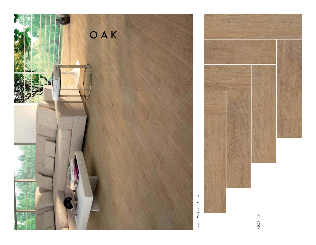

Shown: 25525 6x24 Oak

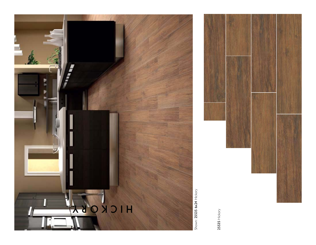

Shown: 25535 6x24 Hickory Shown: 25535 6x24 Hickory

25535 Hickory 25535 Hickory

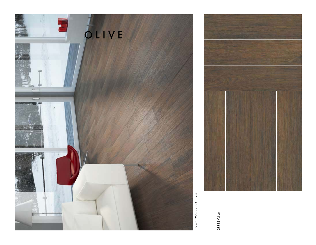

Shown: 25555 6x24 Olive

25555 Olive

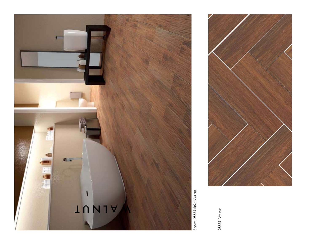

25585 Walnut

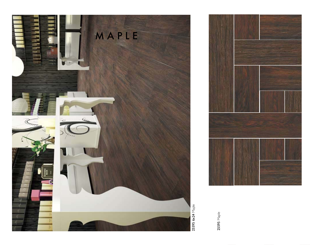

25595 6x24 Maple

25595 Maple 25595 Maple